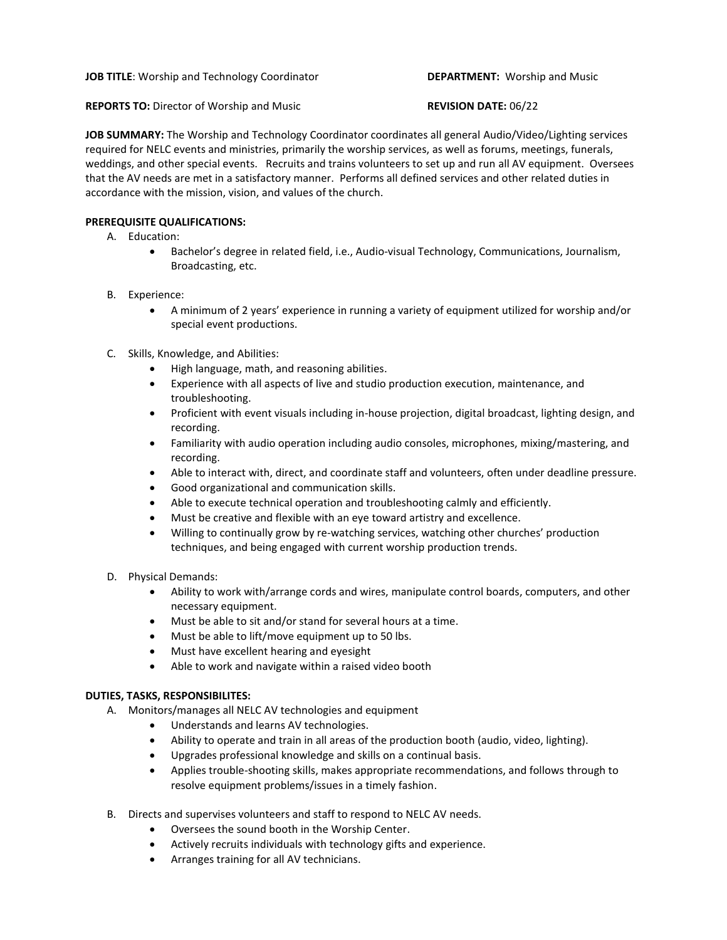**REPORTS TO:** Director of Worship and Music **REVISION DATE:** 06/22

**JOB SUMMARY:** The Worship and Technology Coordinator coordinates all general Audio/Video/Lighting services required for NELC events and ministries, primarily the worship services, as well as forums, meetings, funerals, weddings, and other special events. Recruits and trains volunteers to set up and run all AV equipment. Oversees that the AV needs are met in a satisfactory manner. Performs all defined services and other related duties in accordance with the mission, vision, and values of the church.

## **PREREQUISITE QUALIFICATIONS:**

- A. Education:
	- Bachelor's degree in related field, i.e., Audio-visual Technology, Communications, Journalism, Broadcasting, etc.
- B. Experience:
	- A minimum of 2 years' experience in running a variety of equipment utilized for worship and/or special event productions.
- C. Skills, Knowledge, and Abilities:
	- High language, math, and reasoning abilities.
	- Experience with all aspects of live and studio production execution, maintenance, and troubleshooting.
	- Proficient with event visuals including in-house projection, digital broadcast, lighting design, and recording.
	- Familiarity with audio operation including audio consoles, microphones, mixing/mastering, and recording.
	- Able to interact with, direct, and coordinate staff and volunteers, often under deadline pressure.
	- Good organizational and communication skills.
	- Able to execute technical operation and troubleshooting calmly and efficiently.
	- Must be creative and flexible with an eye toward artistry and excellence.
	- Willing to continually grow by re-watching services, watching other churches' production techniques, and being engaged with current worship production trends.
- D. Physical Demands:
	- Ability to work with/arrange cords and wires, manipulate control boards, computers, and other necessary equipment.
	- Must be able to sit and/or stand for several hours at a time.
	- Must be able to lift/move equipment up to 50 lbs.
	- Must have excellent hearing and eyesight
	- Able to work and navigate within a raised video booth

## **DUTIES, TASKS, RESPONSIBILITES:**

- A. Monitors/manages all NELC AV technologies and equipment
	- Understands and learns AV technologies.
	- Ability to operate and train in all areas of the production booth (audio, video, lighting).
	- Upgrades professional knowledge and skills on a continual basis.
	- Applies trouble-shooting skills, makes appropriate recommendations, and follows through to resolve equipment problems/issues in a timely fashion.
- B. Directs and supervises volunteers and staff to respond to NELC AV needs.
	- Oversees the sound booth in the Worship Center.
	- Actively recruits individuals with technology gifts and experience.
	- Arranges training for all AV technicians.